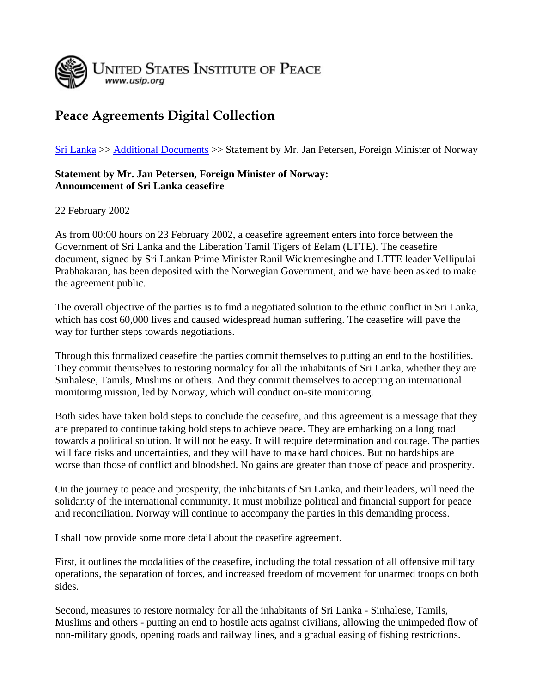

## **Peace Agreements Digital Collection**

[Sri Lanka](http://www.usip.org/library/pa/sri_lanka/pa_sri_lanka.html) >> [Additional Documents](http://www.usip.org/library/pa/sri_lanka/pa_sri_lanka.html#add) >> Statement by Mr. Jan Petersen, Foreign Minister of Norway

## **Statement by Mr. Jan Petersen, Foreign Minister of Norway: Announcement of Sri Lanka ceasefire**

22 February 2002

As from 00:00 hours on 23 February 2002, a ceasefire agreement enters into force between the Government of Sri Lanka and the Liberation Tamil Tigers of Eelam (LTTE). The ceasefire document, signed by Sri Lankan Prime Minister Ranil Wickremesinghe and LTTE leader Vellipulai Prabhakaran, has been deposited with the Norwegian Government, and we have been asked to make the agreement public.

The overall objective of the parties is to find a negotiated solution to the ethnic conflict in Sri Lanka, which has cost 60,000 lives and caused widespread human suffering. The ceasefire will pave the way for further steps towards negotiations.

Through this formalized ceasefire the parties commit themselves to putting an end to the hostilities. They commit themselves to restoring normalcy for all the inhabitants of Sri Lanka, whether they are Sinhalese, Tamils, Muslims or others. And they commit themselves to accepting an international monitoring mission, led by Norway, which will conduct on-site monitoring.

Both sides have taken bold steps to conclude the ceasefire, and this agreement is a message that they are prepared to continue taking bold steps to achieve peace. They are embarking on a long road towards a political solution. It will not be easy. It will require determination and courage. The parties will face risks and uncertainties, and they will have to make hard choices. But no hardships are worse than those of conflict and bloodshed. No gains are greater than those of peace and prosperity.

On the journey to peace and prosperity, the inhabitants of Sri Lanka, and their leaders, will need the solidarity of the international community. It must mobilize political and financial support for peace and reconciliation. Norway will continue to accompany the parties in this demanding process.

I shall now provide some more detail about the ceasefire agreement.

First, it outlines the modalities of the ceasefire, including the total cessation of all offensive military operations, the separation of forces, and increased freedom of movement for unarmed troops on both sides.

Second, measures to restore normalcy for all the inhabitants of Sri Lanka - Sinhalese, Tamils, Muslims and others - putting an end to hostile acts against civilians, allowing the unimpeded flow of non-military goods, opening roads and railway lines, and a gradual easing of fishing restrictions.